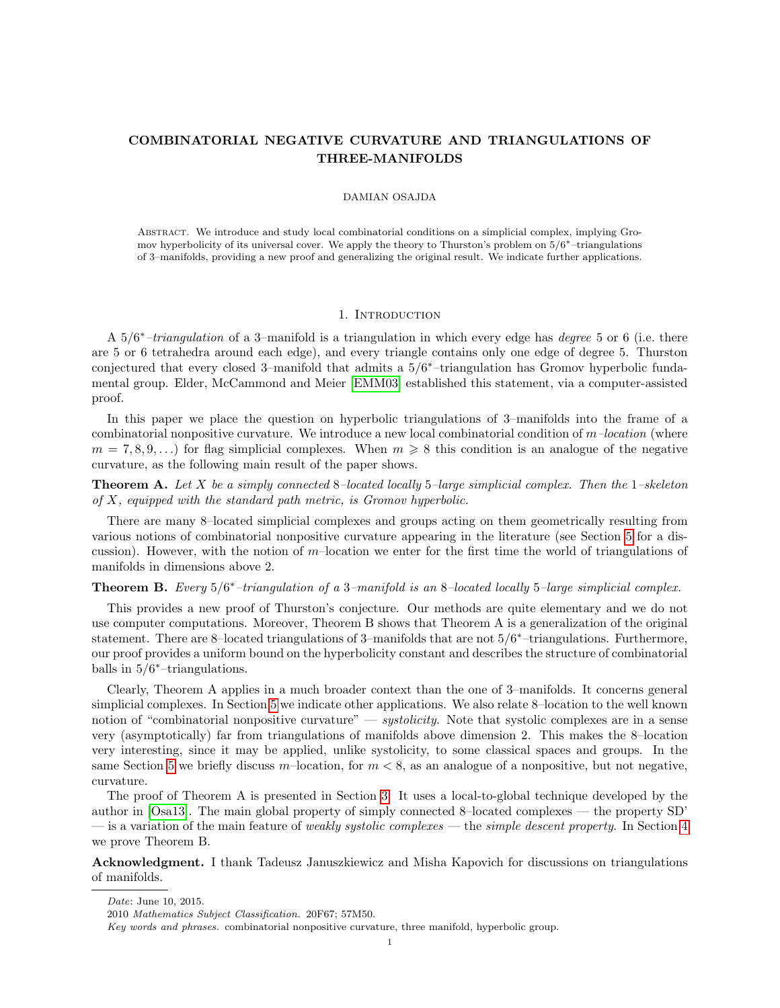## COMBINATORIAL NEGATIVE CURVATURE AND TRIANGULATIONS OF THREE-MANIFOLDS

#### DAMIAN OSAJDA

Abstract. We introduce and study local combinatorial conditions on a simplicial complex, implying Gromov hyperbolicity of its universal cover. We apply the theory to Thurston's problem on 5/6<sup>\*</sup>-triangulations of 3–manifolds, providing a new proof and generalizing the original result. We indicate further applications.

#### 1. INTRODUCTION

A  $5/6^*$ -triangulation of a 3-manifold is a triangulation in which every edge has *degree* 5 or 6 (i.e. there are 5 or 6 tetrahedra around each edge), and every triangle contains only one edge of degree 5. Thurston conjectured that every closed 3–manifold that admits a 5/6 <sup>∗</sup>–triangulation has Gromov hyperbolic fundamental group. Elder, McCammond and Meier [\[EMM03\]](#page-8-0) established this statement, via a computer-assisted proof.

In this paper we place the question on hyperbolic triangulations of 3–manifolds into the frame of a combinatorial nonpositive curvature. We introduce a new local combinatorial condition of  $m$ –location (where  $m = 7, 8, 9, \ldots$  for flag simplicial complexes. When  $m \geq 8$  this condition is an analogue of the negative curvature, as the following main result of the paper shows.

**Theorem A.** Let X be a simply connected 8-located locally 5-large simplicial complex. Then the 1-skeleton of  $X$ , equipped with the standard path metric, is Gromov hyperbolic.

There are many 8–located simplicial complexes and groups acting on them geometrically resulting from various notions of combinatorial nonpositive curvature appearing in the literature (see Section [5](#page-7-0) for a discussion). However, with the notion of  $m$ –location we enter for the first time the world of triangulations of manifolds in dimensions above 2.

## **Theorem B.** Every  $5/6^*$ -triangulation of a 3-manifold is an 8-located locally 5-large simplicial complex.

This provides a new proof of Thurston's conjecture. Our methods are quite elementary and we do not use computer computations. Moreover, Theorem B shows that Theorem A is a generalization of the original statement. There are 8-located triangulations of 3-manifolds that are not  $5/6^*$ -triangulations. Furthermore, our proof provides a uniform bound on the hyperbolicity constant and describes the structure of combinatorial balls in 5/6 <sup>∗</sup>–triangulations.

Clearly, Theorem A applies in a much broader context than the one of 3–manifolds. It concerns general simplicial complexes. In Section [5](#page-7-0) we indicate other applications. We also relate 8–location to the well known notion of "combinatorial nonpositive curvature" — systolicity. Note that systolic complexes are in a sense very (asymptotically) far from triangulations of manifolds above dimension 2. This makes the 8–location very interesting, since it may be applied, unlike systolicity, to some classical spaces and groups. In the same Section [5](#page-7-0) we briefly discuss m–location, for  $m < 8$ , as an analogue of a nonpositive, but not negative, curvature.

The proof of Theorem A is presented in Section [3.](#page-2-0) It uses a local-to-global technique developed by the author in [\[Osa13\]](#page-8-1). The main global property of simply connected 8–located complexes — the property SD'  $-$  is a variation of the main feature of weakly systolic complexes — the simple descent property. In Section [4](#page-6-0) we prove Theorem B.

Acknowledgment. I thank Tadeusz Januszkiewicz and Misha Kapovich for discussions on triangulations of manifolds.

Date: June 10, 2015.

<sup>2010</sup> Mathematics Subject Classification. 20F67; 57M50.

Key words and phrases. combinatorial nonpositive curvature, three manifold, hyperbolic group.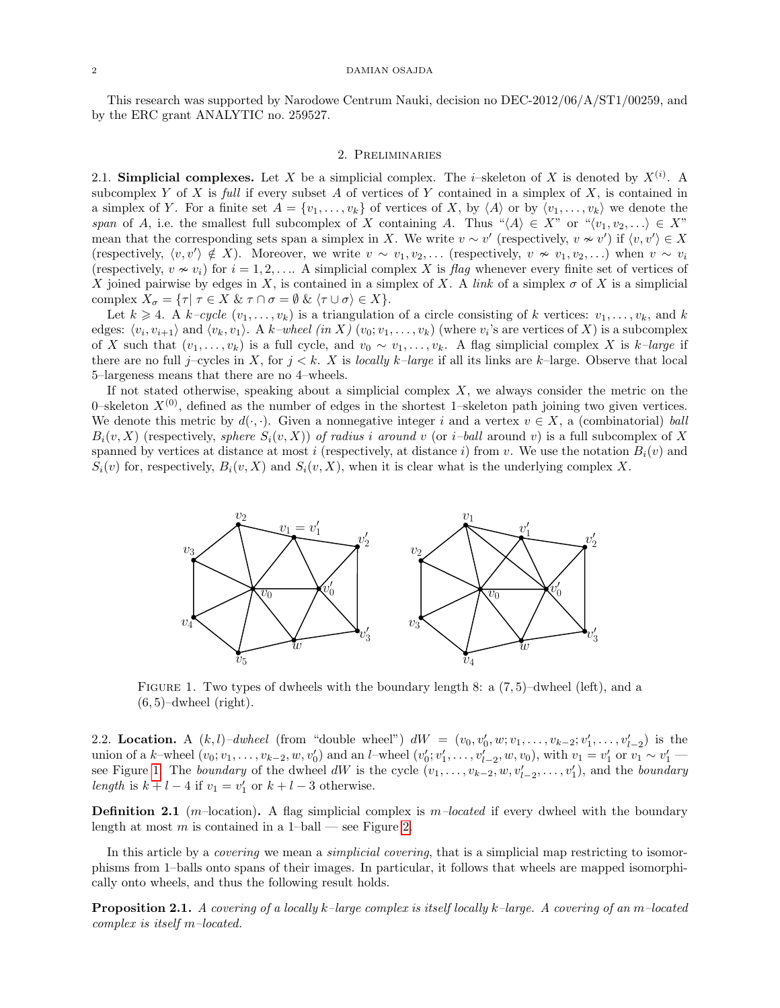#### 2 DAMIAN OSAJDA

This research was supported by Narodowe Centrum Nauki, decision no DEC-2012/06/A/ST1/00259, and by the ERC grant ANALYTIC no. 259527.

#### 2. Preliminaries

2.1. Simplicial complexes. Let X be a simplicial complex. The *i*-skeleton of X is denoted by  $X^{(i)}$ . A subcomplex Y of X is full if every subset A of vertices of Y contained in a simplex of X, is contained in a simplex of Y. For a finite set  $A = \{v_1, \ldots, v_k\}$  of vertices of X, by  $\langle A \rangle$  or by  $\langle v_1, \ldots, v_k \rangle$  we denote the span of A, i.e. the smallest full subcomplex of X containing A. Thus " $\langle A \rangle \in X$ " or " $\langle v_1, v_2, \ldots \rangle \in X$ " mean that the corresponding sets span a simplex in X. We write  $v \sim v'$  (respectively,  $v \nsim v'$ ) if  $\langle v, v' \rangle \in X$ (respectively,  $\langle v, v' \rangle \notin X$ ). Moreover, we write  $v \sim v_1, v_2, \ldots$  (respectively,  $v \nsim v_1, v_2, \ldots$ ) when  $v \sim v_i$ (respectively,  $v \nsim v_i$ ) for  $i = 1, 2, \ldots$ . A simplicial complex X is flag whenever every finite set of vertices of X joined pairwise by edges in X, is contained in a simplex of X. A link of a simplex  $\sigma$  of X is a simplicial complex  $X_{\sigma} = {\tau | \tau \in X \& \tau \cap \sigma = \emptyset \& \langle \tau \cup \sigma \rangle \in X}.$ 

Let  $k \geq 4$ . A  $k-cycle(v_1, \ldots, v_k)$  is a triangulation of a circle consisting of k vertices:  $v_1, \ldots, v_k$ , and k edges:  $\langle v_i, v_{i+1} \rangle$  and  $\langle v_k, v_1 \rangle$ . A k–wheel (in X)  $(v_0; v_1, \ldots, v_k)$  (where  $v_i$ 's are vertices of X) is a subcomplex of X such that  $(v_1, \ldots, v_k)$  is a full cycle, and  $v_0 \sim v_1, \ldots, v_k$ . A flag simplicial complex X is k–large if there are no full j–cycles in X, for  $j < k$ . X is locally k–large if all its links are k–large. Observe that local 5–largeness means that there are no 4–wheels.

If not stated otherwise, speaking about a simplicial complex  $X$ , we always consider the metric on the 0–skeleton  $X^{(0)}$ , defined as the number of edges in the shortest 1–skeleton path joining two given vertices. We denote this metric by  $d(\cdot, \cdot)$ . Given a nonnegative integer i and a vertex  $v \in X$ , a (combinatorial) ball  $B_i(v, X)$  (respectively, *sphere*  $S_i(v, X)$ ) of radius i around v (or i-ball around v) is a full subcomplex of X spanned by vertices at distance at most i (respectively, at distance i) from v. We use the notation  $B_i(v)$  and  $S_i(v)$  for, respectively,  $B_i(v, X)$  and  $S_i(v, X)$ , when it is clear what is the underlying complex X.



<span id="page-1-0"></span>FIGURE 1. Two types of dwheels with the boundary length 8: a  $(7,5)$ –dwheel (left), and a  $(6, 5)$ –dwheel (right).

2.2. Location. A  $(k, l)$ -dwheel (from "double wheel")  $dW = (v_0, v'_0, w; v_1, \ldots, v_{k-2}; v'_1, \ldots, v'_{l-2})$  is the union of a k–wheel  $(v_0; v_1, \ldots, v_{k-2}, w, v'_0)$  and an l–wheel  $(v'_0; v'_1, \ldots, v'_{l-2}, w, v_0)$ , with  $v_1 = v'_1$  or  $v_1 \sim v'_1$ see Figure [1.](#page-1-0) The *boundary* of the dwheel dW is the cycle  $(v_1, \ldots, v_{k-2}, w, v'_{l-2}, \ldots, v'_1)$ , and the *boundary* length is  $k + l - 4$  if  $v_1 = v'_1$  or  $k + l - 3$  otherwise.

<span id="page-1-1"></span>**Definition 2.1** (m–location). A flag simplicial complex is  $m$ –located if every dwheel with the boundary length at most m is contained in a  $1$ -ball — see Figure [2.](#page-2-1)

In this article by a *covering* we mean a *simplicial covering*, that is a simplicial map restricting to isomorphisms from 1–balls onto spans of their images. In particular, it follows that wheels are mapped isomorphically onto wheels, and thus the following result holds.

<span id="page-1-2"></span>**Proposition 2.1.** A covering of a locally k–large complex is itself locally k–large. A covering of an m–located complex is itself m–located.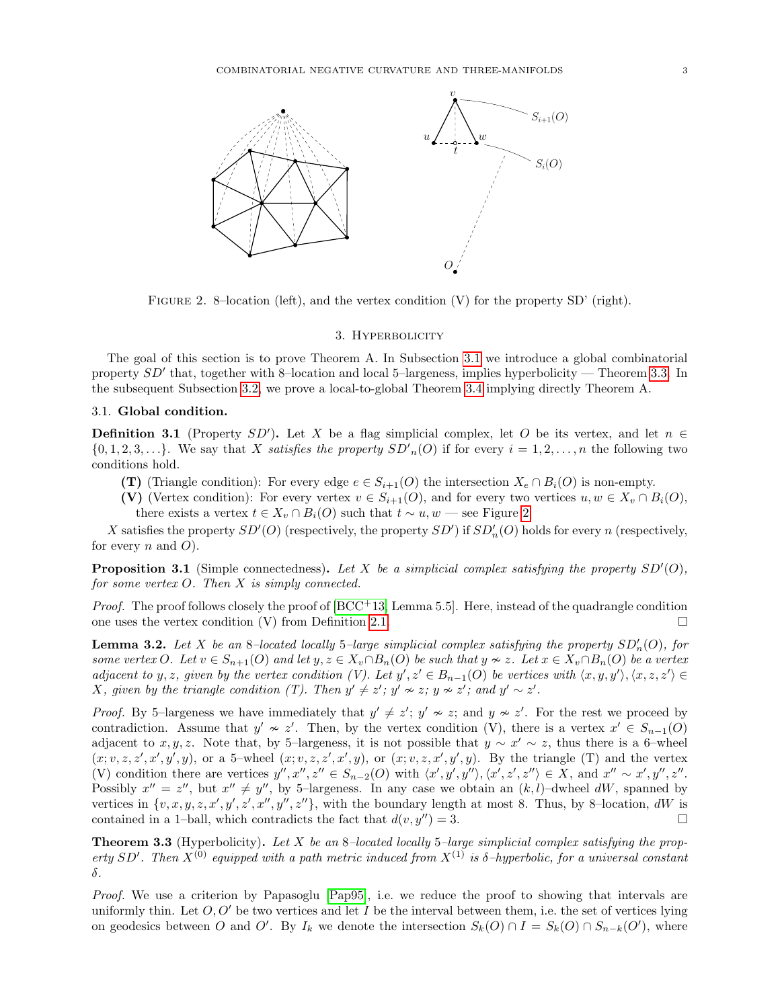

<span id="page-2-1"></span>FIGURE 2. 8-location (left), and the vertex condition (V) for the property SD' (right).

#### 3. Hyperbolicity

<span id="page-2-0"></span>The goal of this section is to prove Theorem A. In Subsection [3.1](#page-2-2) we introduce a global combinatorial property  $SD'$  that, together with 8–location and local 5–largeness, implies hyperbolicity — Theorem [3.3.](#page-2-3) In the subsequent Subsection [3.2,](#page-4-0) we prove a local-to-global Theorem [3.4](#page-4-1) implying directly Theorem A.

### <span id="page-2-2"></span>3.1. Global condition.

<span id="page-2-5"></span>**Definition 3.1** (Property  $SD'$ ). Let X be a flag simplicial complex, let O be its vertex, and let  $n \in$  $\{0, 1, 2, 3, \ldots\}$ . We say that X satisfies the property  $SD'_n(O)$  if for every  $i = 1, 2, \ldots, n$  the following two conditions hold.

- (T) (Triangle condition): For every edge  $e \in S_{i+1}(O)$  the intersection  $X_e \cap B_i(O)$  is non-empty.
- (V) (Vertex condition): For every vertex  $v \in S_{i+1}(O)$ , and for every two vertices  $u, w \in X_v \cap B_i(O)$ , there exists a vertex  $t \in X_v \cap B_i(O)$  such that  $t \sim u, w$  — see Figure [2.](#page-2-1)

X satisfies the property  $SD'(O)$  (respectively, the property  $SD'$ ) if  $SD'_{n}(O)$  holds for every n (respectively, for every  $n$  and  $O$ ).

<span id="page-2-6"></span>**Proposition 3.1** (Simple connectedness). Let X be a simplicial complex satisfying the property  $SD'(O)$ , for some vertex  $O$ . Then  $X$  is simply connected.

*Proof.* The proof follows closely the proof of  $[BCC+13, Lemma 5.5]$  $[BCC+13, Lemma 5.5]$ . Here, instead of the quadrangle condition one uses the vertex condition (V) from Definition [2.1.](#page-1-1)

<span id="page-2-4"></span>**Lemma 3.2.** Let X be an 8-located locally 5-large simplicial complex satisfying the property  $SD'_n(O)$ , for some vertex O. Let  $v \in S_{n+1}(O)$  and let  $y, z \in X_v \cap B_n(O)$  be such that  $y \nsim z$ . Let  $x \in X_v \cap B_n(O)$  be a vertex adjacent to y, z, given by the vertex condition (V). Let  $y', z' \in B_{n-1}(O)$  be vertices with  $\langle x, y, y' \rangle, \langle x, z, z' \rangle \in$ X, given by the triangle condition (T). Then  $y' \neq z'$ ;  $y' \approx z$ ;  $y \approx z'$ ; and  $y' \sim z'$ .

*Proof.* By 5-largeness we have immediately that  $y' \neq z'$ ;  $y' \approx z$ ; and  $y \approx z'$ . For the rest we proceed by contradiction. Assume that  $y' \nsim z'$ . Then, by the vertex condition (V), there is a vertex  $x' \in S_{n-1}(O)$ adjacent to x, y, z. Note that, by 5–largeness, it is not possible that  $y \sim x' \sim z$ , thus there is a 6–wheel  $(x; v, z, z', x', y', y)$ , or a 5-wheel  $(x; v, z, z', x', y)$ , or  $(x; v, z, x', y', y)$ . By the triangle (T) and the vertex (V) condition there are vertices  $y'', x'', z'' \in S_{n-2}(O)$  with  $\langle x', y', y'' \rangle, \langle x', z', z'' \rangle \in X$ , and  $x'' \sim x', y'', z''$ . Possibly  $x'' = z''$ , but  $x'' \neq y''$ , by 5-largeness. In any case we obtain an  $(k, l)$ -dwheel dW, spanned by vertices in  $\{v, x, y, z, x', y', z', x'', y'', z''\}$ , with the boundary length at most 8. Thus, by 8-location, dW is contained in a 1–ball, which contradicts the fact that  $d(v, y'') = 3$ .

<span id="page-2-3"></span>**Theorem 3.3** (Hyperbolicity). Let X be an 8-located locally 5-large simplicial complex satisfying the property SD'. Then  $X^{(0)}$  equipped with a path metric induced from  $X^{(1)}$  is  $\delta$ -hyperbolic, for a universal constant δ.

Proof. We use a criterion by Papasoglu [\[Pap95\]](#page-8-3), i.e. we reduce the proof to showing that intervals are uniformly thin. Let  $O, O'$  be two vertices and let I be the interval between them, i.e. the set of vertices lying on geodesics between O and O'. By  $I_k$  we denote the intersection  $S_k(O) \cap I = S_k(O) \cap S_{n-k}(O')$ , where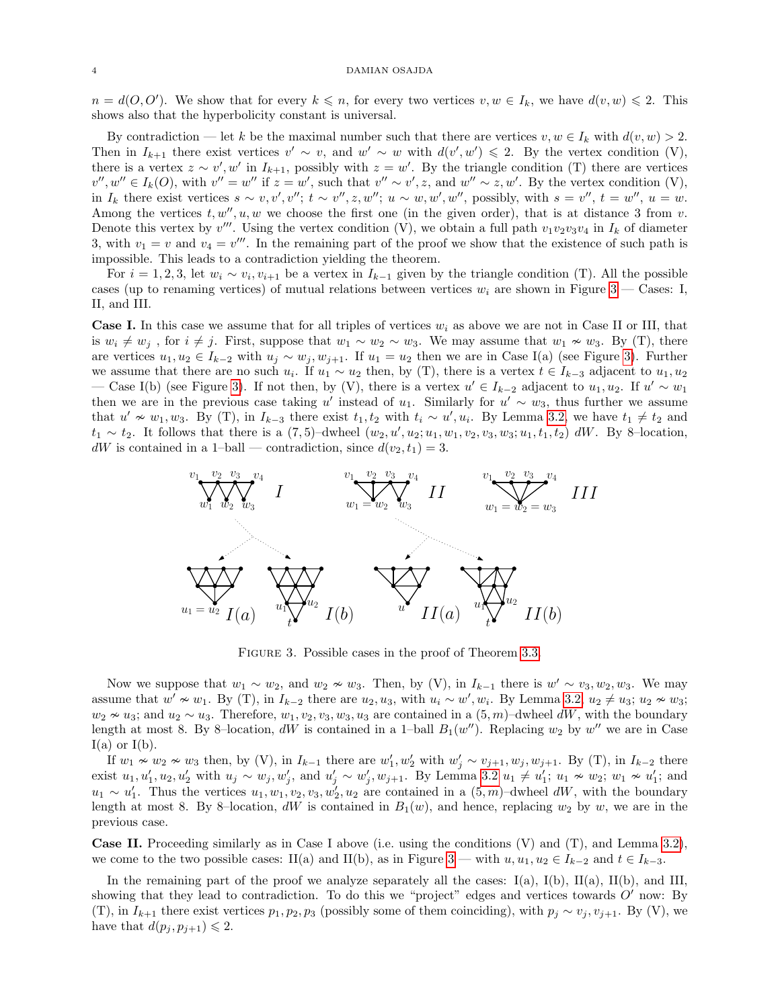$n = d(O, O')$ . We show that for every  $k \leq n$ , for every two vertices  $v, w \in I_k$ , we have  $d(v, w) \leq 2$ . This shows also that the hyperbolicity constant is universal.

By contradiction — let k be the maximal number such that there are vertices  $v, w \in I_k$  with  $d(v, w) > 2$ . Then in  $I_{k+1}$  there exist vertices  $v' \sim v$ , and  $w' \sim w$  with  $d(v', w') \leq 2$ . By the vertex condition (V), there is a vertex  $z \sim v'$ , w' in  $I_{k+1}$ , possibly with  $z = w'$ . By the triangle condition (T) there are vertices  $v'', w'' \in I_k(O)$ , with  $v'' = w''$  if  $z = w'$ , such that  $v'' \sim v'$ , z, and  $w'' \sim z$ , w'. By the vertex condition (V), in  $I_k$  there exist vertices  $s \sim v, v', v''$ ;  $t \sim v''$ ,  $z, w''$ ;  $u \sim w, w', w''$ , possibly, with  $s = v''$ ,  $t = w''$ ,  $u = w$ . Among the vertices  $t, w'', u, w$  we choose the first one (in the given order), that is at distance 3 from v. Denote this vertex by  $v'''$ . Using the vertex condition (V), we obtain a full path  $v_1v_2v_3v_4$  in  $I_k$  of diameter 3, with  $v_1 = v$  and  $v_4 = v'''$ . In the remaining part of the proof we show that the existence of such path is impossible. This leads to a contradiction yielding the theorem.

For  $i = 1, 2, 3$ , let  $w_i \sim v_i, v_{i+1}$  be a vertex in  $I_{k-1}$  given by the triangle condition (T). All the possible cases (up to renaming vertices) of mutual relations between vertices  $w_i$  are shown in Figure [3](#page-3-0) – Cases: I, II, and III.

**Case I.** In this case we assume that for all triples of vertices  $w_i$  as above we are not in Case II or III, that is  $w_i \neq w_j$ , for  $i \neq j$ . First, suppose that  $w_1 \sim w_2 \sim w_3$ . We may assume that  $w_1 \nsim w_3$ . By (T), there are vertices  $u_1, u_2 \in I_{k-2}$  with  $u_j \sim w_j, w_{j+1}$ . If  $u_1 = u_2$  then we are in Case I(a) (see Figure [3\)](#page-3-0). Further we assume that there are no such  $u_i$ . If  $u_1 \sim u_2$  then, by (T), there is a vertex  $t \in I_{k-3}$  adjacent to  $u_1, u_2$ — Case I(b) (see Figure [3\)](#page-3-0). If not then, by (V), there is a vertex  $u' \in I_{k-2}$  adjacent to  $u_1, u_2$ . If  $u' \sim w_1$ then we are in the previous case taking u' instead of  $u_1$ . Similarly for  $u' \sim w_3$ , thus further we assume that  $u' \approx w_1, w_3$ . By (T), in  $I_{k-3}$  there exist  $t_1, t_2$  with  $t_i \sim u', u_i$ . By Lemma [3.2,](#page-2-4) we have  $t_1 \neq t_2$  and  $t_1 \sim t_2$ . It follows that there is a  $(7, 5)$ -dwheel  $(w_2, u', u_2; u_1, w_1, v_2, v_3, w_3; u_1, t_1, t_2)$  dW. By 8-location,  $dW$  is contained in a 1-ball — contradiction, since  $d(v_2, t_1) = 3$ .



<span id="page-3-0"></span>Figure 3. Possible cases in the proof of Theorem [3.3.](#page-2-3)

Now we suppose that  $w_1 \sim w_2$ , and  $w_2 \nsim w_3$ . Then, by (V), in  $I_{k-1}$  there is  $w' \sim v_3, w_2, w_3$ . We may assume that  $w' \approx w_1$ . By (T), in  $I_{k-2}$  there are  $u_2, u_3$ , with  $u_i \sim w'$ ,  $w_i$ . By Lemma [3.2,](#page-2-4)  $u_2 \neq u_3$ ;  $u_2 \approx w_3$ ;  $w_2 \nsim u_3$ ; and  $u_2 \sim u_3$ . Therefore,  $w_1, v_2, v_3, w_3, u_3$  are contained in a  $(5, m)$ –dwheel dW, with the boundary length at most 8. By 8-location, dW is contained in a 1-ball  $B_1(w'')$ . Replacing  $w_2$  by  $w''$  we are in Case  $I(a)$  or  $I(b)$ .

If  $w_1 \nsim w_2 \nsim w_3$  then, by (V), in  $I_{k-1}$  there are  $w'_1, w'_2$  with  $w'_j \nsim v_{j+1}, w_j, w_{j+1}$ . By (T), in  $I_{k-2}$  there exist  $u_1, u'_1, u_2, u'_2$  with  $u_j \sim w_j, w'_j$ , and  $u'_j \sim w'_j, w_{j+1}$ . By Lemma [3.2](#page-2-4)  $u_1 \neq u'_1$ ;  $u_1 \nsim w_2$ ;  $w_1 \nsim u'_1$ ; and  $u_1 \sim u_1'$ . Thus the vertices  $u_1, w_1, v_2, v_3, w_2', u_2$  are contained in a  $(5, m)$ –dwheel dW, with the boundary length at most 8. By 8–location, dW is contained in  $B_1(w)$ , and hence, replacing  $w_2$  by w, we are in the previous case.

**Case II.** Proceeding similarly as in Case I above (i.e. using the conditions  $(V)$  and  $(T)$ , and Lemma [3.2\)](#page-2-4), we come to the two possible cases: II(a) and II(b), as in Figure [3](#page-3-0) — with  $u, u_1, u_2 \in I_{k-2}$  and  $t \in I_{k-3}$ .

In the remaining part of the proof we analyze separately all the cases:  $I(a)$ ,  $I(b)$ ,  $II(a)$ ,  $II(b)$ , and  $III$ , showing that they lead to contradiction. To do this we "project" edges and vertices towards  $O'$  now: By (T), in  $I_{k+1}$  there exist vertices  $p_1, p_2, p_3$  (possibly some of them coinciding), with  $p_i \sim v_j, v_{j+1}$ . By (V), we have that  $d(p_j, p_{j+1}) \leq 2$ .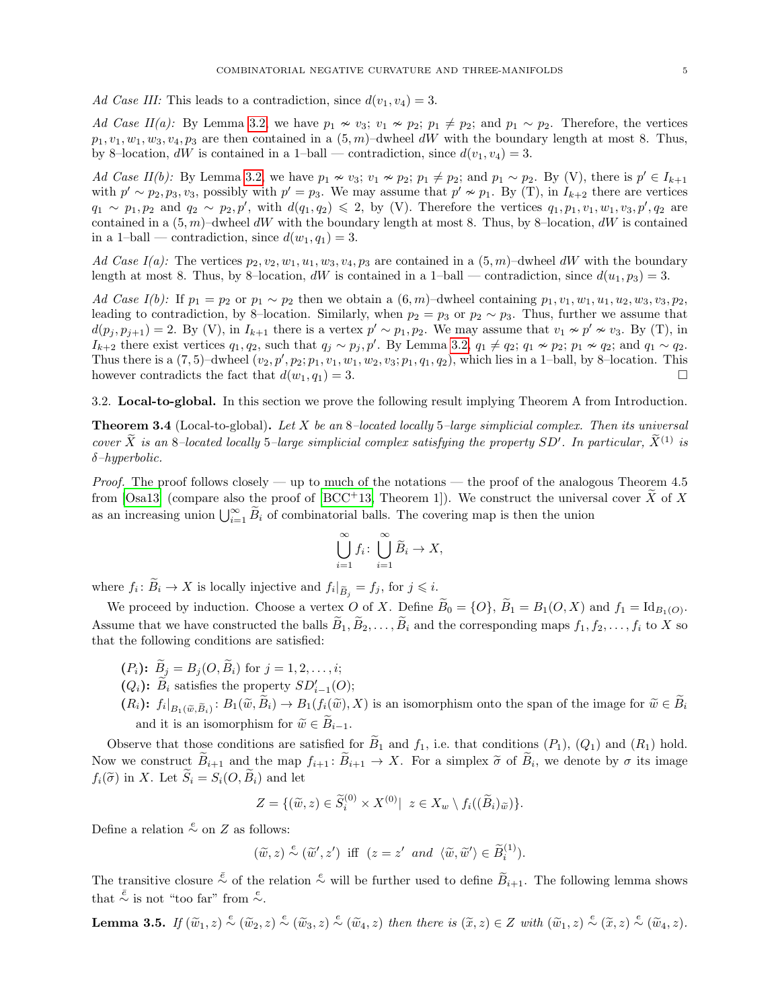Ad Case III: This leads to a contradiction, since  $d(v_1, v_4) = 3$ .

Ad Case II(a): By Lemma [3.2,](#page-2-4) we have  $p_1 \nsim v_3$ ;  $v_1 \nsim p_2$ ;  $p_1 \neq p_2$ ; and  $p_1 \nsim p_2$ . Therefore, the vertices  $p_1, v_1, w_1, w_3, v_4, p_3$  are then contained in a  $(5, m)$ –dwheel dW with the boundary length at most 8. Thus, by 8–location, dW is contained in a 1–ball — contradiction, since  $d(v_1, v_4) = 3$ .

Ad Case II(b): By Lemma [3.2,](#page-2-4) we have  $p_1 \nsim v_3$ ;  $v_1 \nsim p_2$ ;  $p_1 \neq p_2$ ; and  $p_1 \sim p_2$ . By (V), there is  $p' \in I_{k+1}$ with  $p' \sim p_2, p_3, v_3$ , possibly with  $p' = p_3$ . We may assume that  $p' \approx p_1$ . By (T), in  $I_{k+2}$  there are vertices  $q_1 \sim p_1, p_2$  and  $q_2 \sim p_2, p'$ , with  $d(q_1, q_2) \leq 2$ , by (V). Therefore the vertices  $q_1, p_1, v_1, w_1, v_3, p', q_2$  are contained in a  $(5, m)$ –dwheel dW with the boundary length at most 8. Thus, by 8–location, dW is contained in a 1-ball — contradiction, since  $d(w_1, q_1) = 3$ .

Ad Case I(a): The vertices  $p_2, v_2, w_1, u_1, w_3, v_4, p_3$  are contained in a  $(5, m)$ -dwheel dW with the boundary length at most 8. Thus, by 8–location, dW is contained in a 1–ball — contradiction, since  $d(u_1, p_3) = 3$ .

Ad Case I(b): If  $p_1 = p_2$  or  $p_1 \sim p_2$  then we obtain a  $(6, m)$ –dwheel containing  $p_1, v_1, w_1, u_1, u_2, w_3, v_3, p_2$ , leading to contradiction, by 8–location. Similarly, when  $p_2 = p_3$  or  $p_2 \sim p_3$ . Thus, further we assume that  $d(p_j, p_{j+1}) = 2$ . By (V), in  $I_{k+1}$  there is a vertex  $p' \sim p_1, p_2$ . We may assume that  $v_1 \nsim p' \nsim v_3$ . By (T), in  $I_{k+2}$  there exist vertices  $q_1, q_2$ , such that  $q_j \sim p_j$ , p'. By Lemma [3.2,](#page-2-4)  $q_1 \neq q_2$ ;  $q_1 \nsim p_2$ ;  $p_1 \nsim q_2$ ; and  $q_1 \sim q_2$ . Thus there is a  $(7,5)$ -dwheel  $(v_2, p', p_2; p_1, v_1, w_1, w_2, v_3; p_1, q_1, q_2)$ , which lies in a 1-ball, by 8-location. This however contradicts the fact that  $d(w_1, q_1) = 3$ .

<span id="page-4-0"></span>3.2. Local-to-global. In this section we prove the following result implying Theorem A from Introduction.

<span id="page-4-1"></span>**Theorem 3.4** (Local-to-global). Let X be an 8-located locally 5-large simplicial complex. Then its universal cover  $\tilde{X}$  is an 8-located locally 5-large simplicial complex satisfying the property SD'. In particular,  $\tilde{X}^{(1)}$  is δ–hyperbolic.

*Proof.* The proof follows closely — up to much of the notations — the proof of the analogous Theorem 4.5 from [\[Osa13\]](#page-8-1) (compare also the proof of [\[BCC](#page-8-2)<sup>+</sup>13, Theorem 1]). We construct the universal cover X of X as an increasing union  $\bigcup_{i=1}^{\infty} \widetilde{B}_i$  of combinatorial balls. The covering map is then the union

$$
\bigcup_{i=1}^{\infty} f_i \colon \bigcup_{i=1}^{\infty} \widetilde{B}_i \to X,
$$

where  $f_i: \widetilde{B}_i \to X$  is locally injective and  $f_i|_{\widetilde{B}_j} = f_j$ , for  $j \leq i$ .

We proceed by induction. Choose a vertex  $O$  of X. Define  $B_0 = \{O\}$ ,  $B_1 = B_1(O, X)$  and  $f_1 = \text{Id}_{B_1(O)}$ . Assume that we have constructed the balls  $\widetilde{B}_1, \widetilde{B}_2, \ldots, \widetilde{B}_i$  and the corresponding maps  $f_1, f_2, \ldots, f_i$  to X so that the following conditions are satisfied:

- $(P_i)$ :  $\widetilde{B}_j = B_j (O, \widetilde{B}_i)$  for  $j = 1, 2, \ldots, i;$
- $(Q_i)$ :  $\widetilde{B}_i$  satisfies the property  $SD'_{i-1}(O)$ ;
- $(R_i)$ :  $f_i|_{B_1(\widetilde{w}, \widetilde{B}_i)}$ :  $B_1(\widetilde{w}, B_i) \to B_1(f_i(\widetilde{w}), X)$  is an isomorphism onto the span of the image for  $\widetilde{w} \in B_i$ and it is an isomorphism for  $\widetilde{w} \in \widetilde{B}_{i-1}$ .

Observe that those conditions are satisfied for  $B_1$  and  $f_1$ , i.e. that conditions  $(P_1)$ ,  $(Q_1)$  and  $(R_1)$  hold. Now we construct  $B_{i+1}$  and the map  $f_{i+1} : B_{i+1} \to X$ . For a simplex  $\tilde{\sigma}$  of  $B_i$ , we denote by  $\sigma$  its image  $f(\tilde{\sigma})$  in  $Y$ , Let  $\tilde{S} = S(\tilde{\sigma}, \tilde{B})$  and let  $f_i(\tilde{\sigma})$  in X. Let  $\tilde{S}_i = S_i(O, \tilde{B}_i)$  and let

$$
Z = \{ (\widetilde{w}, z) \in \widetilde{S}_i^{(0)} \times X^{(0)} | \ z \in X_w \setminus f_i((\widetilde{B}_i)_{\widetilde{w}}) \}.
$$

Define a relation  $\stackrel{e}{\sim}$  on Z as follows:

$$
(\widetilde{w},z) \stackrel{e}{\sim} (\widetilde{w}',z')
$$
 iff  $(z=z' \text{ and } \langle \widetilde{w}, \widetilde{w}' \rangle \in \widetilde{B}_i^{(1)}).$ 

The transitive closure  $\frac{\bar{e}}{\sim}$  of the relation  $\frac{e}{\sim}$  will be further used to define  $\widetilde{B}_{i+1}$ . The following lemma shows that  $\stackrel{e}{\sim}$  is not "too far" from  $\stackrel{e}{\sim}$ .

<span id="page-4-2"></span>**Lemma 3.5.** If  $(\widetilde{w}_1, z) \stackrel{e}{\sim} (\widetilde{w}_2, z) \stackrel{e}{\sim} (\widetilde{w}_3, z) \stackrel{e}{\sim} (\widetilde{w}_4, z)$  then there is  $(\widetilde{x}, z) \in Z$  with  $(\widetilde{w}_1, z) \stackrel{e}{\sim} (\widetilde{x}, z) \stackrel{e}{\sim} (\widetilde{w}_4, z)$ .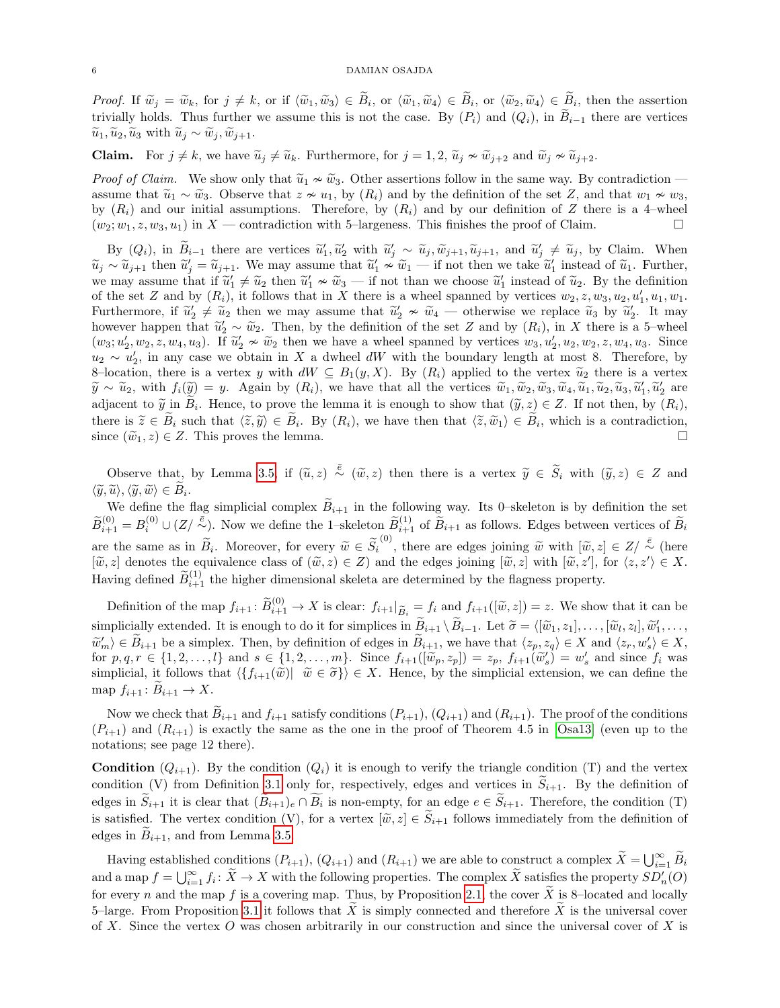Proof. If  $\widetilde{w}_j = \widetilde{w}_k$ , for  $j \neq k$ , or if  $\langle \widetilde{w}_1, \widetilde{w}_3 \rangle \in B_i$ , or  $\langle \widetilde{w}_1, \widetilde{w}_4 \rangle \in B_i$ , or  $\langle \widetilde{w}_2, \widetilde{w}_4 \rangle \in B_i$ , then the assertion trivially holds. Thus further we assume this is not the case. By  $(P_i)$  and  $(Q_i)$ , in  $\tilde{B}_{i-1}$  there are vertices  $\widetilde{u}_1, \widetilde{u}_2, \widetilde{u}_3$  with  $\widetilde{u}_i \sim \widetilde{w}_i, \widetilde{w}_{i+1}.$ 

**Claim.** For  $j \neq k$ , we have  $\widetilde{u}_j \neq \widetilde{u}_k$ . Furthermore, for  $j = 1, 2, \widetilde{u}_j \nsim \widetilde{w}_{j+2}$  and  $\widetilde{w}_j \nsim \widetilde{u}_{j+2}$ .

*Proof of Claim.* We show only that  $\tilde{u}_1 \nsim \tilde{w}_3$ . Other assertions follow in the same way. By contradiction assume that  $\tilde{u}_1 \sim \tilde{w}_3$ . Observe that  $z \nsim u_1$ , by  $(R_i)$  and by the definition of the set Z, and that  $w_1 \nsim w_3$ , by  $(R_i)$  and our initial assumptions. Therefore, by  $(R_i)$  and by our definition of Z there is a 4–wheel  $(w_2; w_1, z, w_3, u_1)$  in X — contradiction with 5-largeness. This finishes the proof of Claim.

By  $(Q_i)$ , in  $\tilde{B}_{i-1}$  there are vertices  $\tilde{u}'_1, \tilde{u}'_2$  with  $\tilde{u}'_j \sim \tilde{u}_j, \tilde{w}_{j+1}, \tilde{u}_{j+1}$ , and  $\tilde{u}'_j \neq \tilde{u}_j$ , by Claim. When  $\tilde{v}'_j$  then  $\tilde{v}'_j$  then  $\tilde{v}'_j$  then  $\tilde{v}'_j$  is the se  $\widetilde{u}_j \sim \widetilde{u}_{j+1}$  then  $\widetilde{u}'_j = \widetilde{u}_{j+1}$ . We may assume that  $\widetilde{u}'_1 \nsim \widetilde{u}_1$  — if not then we take  $\widetilde{u}'_1$  instead of  $\widetilde{u}_1$ . Further, we may assume that if  $\tilde{u}'_1 \neq \tilde{u}_2$  then  $\tilde{u}'_1 \nsim \tilde{u}_3$  — if not than we choose  $\tilde{u}'_1$  instead of  $\tilde{u}_2$ . By the definition of the set Z and by  $(R_1)$  it follows that in X there is a whool spanned by v of the set Z and by  $(R_i)$ , it follows that in X there is a wheel spanned by vertices  $w_2, z, w_3, u_2, u'_1, u_1, w_1$ . Furthermore, if  $\tilde{u}'_2 \neq \tilde{u}_2$  then we may assume that  $\tilde{u}'_2 \nsim \tilde{u}_4$  — otherwise we replace  $\tilde{u}_3$  by  $\tilde{u}'_2$ . It may be verify the summer hast  $\tilde{u}'_1$  as  $\tilde{u}'_2$  as  $\tilde{u}'_3$ . Then, by the defin however happen that  $\tilde{u}'_2 \sim \tilde{w}_2$ . Then, by the definition of the set Z and by  $(R_i)$ , in X there is a 5–wheel<br>(and all all all  $\tilde{w}_1$  all all  $\tilde{w}_2$  all  $\tilde{w}_1$  all  $\tilde{w}_2$  all  $\tilde{w}_1$  all  $\tilde{w}_1$  all  $(w_3; u'_2, w_2, z, w_4, u_3)$ . If  $\widetilde{u}'_2 \nsim \widetilde{w}_2$  then we have a wheel spanned by vertices  $w_3, u'_2, u_2, w_2, z, w_4, u_3$ . Since  $u_2 \sim u_2'$ , in any case we obtain in X a dwheel dW with the boundary length at most 8. Therefore, by 8–location, there is a vertex y with  $dW \subseteq B_1(y,X)$ . By  $(R_i)$  applied to the vertex  $\tilde{u}_2$  there is a vertex  $\widetilde{y} \sim \widetilde{u}_2$ , with  $f_i(\widetilde{y}) = y$ . Again by  $(R_i)$ , we have that all the vertices  $\widetilde{w}_1, \widetilde{w}_2, \widetilde{w}_3, \widetilde{w}_4, \widetilde{u}_1, \widetilde{u}_2, \widetilde{u}_3, \widetilde{u}_1', \widetilde{u}_2'$  are adjacent to  $\widetilde{y}$  in  $B_i$ . Hence, to prove the lemma it is enough to show that  $(\widetilde{y}, z) \in Z$ . If not then, by  $(R_i)$ ,<br>there is  $\widetilde{z} \in \widetilde{B}$ , such that  $(\widetilde{z}, \widetilde{z}) \in \widetilde{B}$ , such that  $(\widetilde{z}, \widetilde{z}) \in \widetilde{B$ there is  $\tilde{z} \in B_i$  such that  $\langle \tilde{z}, \tilde{y} \rangle \in B_i$ . By  $(R_i)$ , we have then that  $\langle \tilde{z}, \tilde{w}_1 \rangle \in B_i$ , which is a contradiction, since  $(\tilde{w}_1, z) \in Z$ . This proves the lemma.

Observe that, by Lemma [3.5,](#page-4-2) if  $(\tilde{u}, z) \stackrel{\bar{e}}{\sim} (\tilde{w}, z)$  then there is a vertex  $\tilde{y} \in \tilde{S}_i$  with  $(\tilde{y}, z) \in Z$  and  $\tilde{z} \sim \tilde{z} \tilde{z} \sim \tilde{z}$  $\langle \widetilde{y}, \widetilde{u} \rangle, \langle \widetilde{y}, \widetilde{w} \rangle \in B_i.$ <br>We define the

We define the flag simplicial complex  $\widetilde{B}_{i+1}$  in the following way. Its 0–skeleton is by definition the set  $\widetilde{B}_{i+1}^{(0)} = B_i^{(0)} \cup (Z/\zeta)$ . Now we define the 1-skeleton  $\widetilde{B}_{i+1}^{(1)}$  of  $\widetilde{B}_{i+1}$  as follows. Edges between vertices of  $\widetilde{B}_i$ are the same as in  $\widetilde{B}_i$ . Moreover, for every  $\widetilde{w} \in \widetilde{S}_i^{(0)}$ , there are edges joining  $\widetilde{w}$  with  $[\widetilde{w}, z] \in Z/\overset{\bar{e}}{\sim}$  (here  $[\widetilde{w}, z]$  denotes the equivalence along of  $(\widetilde{w}, z) \in Z$ ) and the edges  $[\tilde{w}, z]$  denotes the equivalence class of  $(\tilde{w}, z) \in Z$ ) and the edges joining  $[\tilde{w}, z]$  with  $[\tilde{w}, z']$ , for  $\langle z, z' \rangle \in X$ . Having defined  $\widetilde{B}_{i+1}^{(1)}$  the higher dimensional skeleta are determined by the flagness property.

Definition of the map  $f_{i+1} : \widetilde{B}_{i+1}^{(0)} \to X$  is clear:  $f_{i+1}|_{\widetilde{B}_i} = f_i$  and  $f_{i+1}([\widetilde{w}, z]) = z$ . We show that it can be simplicially extended. It is enough to do it for simplices in  $\tilde{B}_{i+1} \setminus \tilde{B}_{i-1}$ . Let  $\tilde{\sigma} = \langle [\tilde{w}_1, z_1], \ldots, [\tilde{w}_l, z_l], \tilde{w}'_1, \ldots, [\tilde{w}_l] \rangle$  $\widetilde{w}'_m \in \widetilde{B}_{i+1}$  be a simplex. Then, by definition of edges in  $\widetilde{B}_{i+1}$ , we have that  $\langle z_p, z_q \rangle \in X$  and  $\langle z_r, w'_s \rangle \in X$ ,  $\widetilde{w}'_s$ for  $p, q, r \in \{1, 2, ..., l\}$  and  $s \in \{1, 2, ..., m\}$ . Since  $f_{i+1}([\widetilde{w}_p, z_p]) = z_p$ ,  $f_{i+1}(\widetilde{w}'_s) = w'_s$  and since  $f_i$  was<br>simplicial it follows that  $(f_{i-1}(\widetilde{w}) \mid \widetilde{w} \in \widetilde{\pi}\}) \subset Y$ . Hence by the simplicial extension w simplicial, it follows that  $\langle f_{i+1}(\tilde{w})| \tilde{w} \in \tilde{\sigma} \rangle \in X$ . Hence, by the simplicial extension, we can define the map  $f_{i+1} : B_{i+1} \to X$ .

Now we check that  $B_{i+1}$  and  $f_{i+1}$  satisfy conditions  $(P_{i+1}), (Q_{i+1})$  and  $(R_{i+1})$ . The proof of the conditions  $(P_{i+1})$  and  $(R_{i+1})$  is exactly the same as the one in the proof of Theorem 4.5 in [\[Osa13\]](#page-8-1) (even up to the notations; see page 12 there).

**Condition**  $(Q_{i+1})$ . By the condition  $(Q_i)$  it is enough to verify the triangle condition (T) and the vertex condition (V) from Definition [3.1](#page-2-5) only for, respectively, edges and vertices in  $\tilde{S}_{i+1}$ . By the definition of edges in  $S_{i+1}$  it is clear that  $(B_{i+1})_e \cap B_i$  is non-empty, for an edge  $e \in S_{i+1}$ . Therefore, the condition (T) is satisfied. The vertex condition (V), for a vertex  $[\tilde{w}, z] \in \tilde{S}_{i+1}$  follows immediately from the definition of edges in  $B_{i+1}$ , and from Lemma [3.5.](#page-4-2)

Having established conditions  $(P_{i+1}), (Q_{i+1})$  and  $(R_{i+1})$  we are able to construct a complex  $\widetilde{X} = \bigcup_{i=1}^{\infty} \widetilde{B}_i$ and a map  $f = \bigcup_{i=1}^{\infty} f_i \colon \widetilde{X} \to X$  with the following properties. The complex  $\widetilde{X}$  satisfies the property  $SD'_n(O)$ for every n and the map f is a covering map. Thus, by Proposition [2.1,](#page-1-2) the cover  $\tilde{X}$  is 8–located and locally 5–large. From Proposition [3.1](#page-2-6) it follows that X is simply connected and therefore X is the universal cover of X. Since the vertex O was chosen arbitrarily in our construction and since the universal cover of X is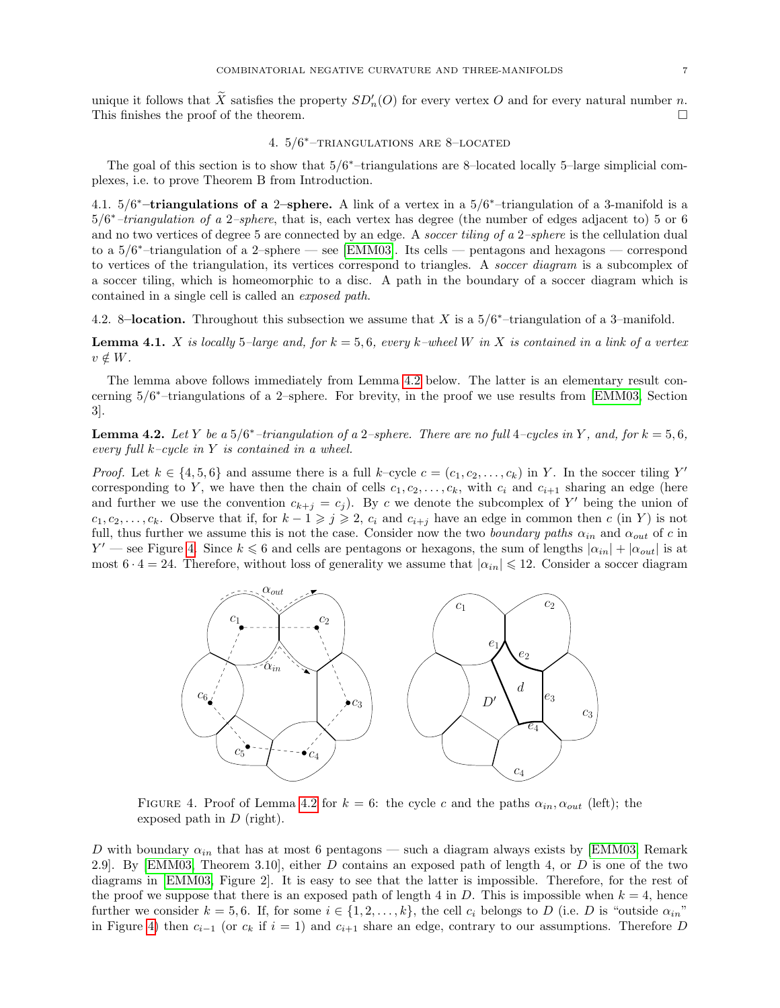unique it follows that  $\tilde{X}$  satisfies the property  $SD_n'(O)$  for every vertex O and for every natural number n. This finishes the proof of the theorem.  $\Box$ 

# 4. 5/6 <sup>∗</sup>–triangulations are 8–located

<span id="page-6-0"></span>The goal of this section is to show that  $5/6^*$ -triangulations are 8–located locally 5–large simplicial complexes, i.e. to prove Theorem B from Introduction.

4.1.  $5/6^*$ -triangulations of a 2-sphere. A link of a vertex in a  $5/6^*$ -triangulation of a 3-manifold is a 5/6<sup>\*</sup>-triangulation of a 2-sphere, that is, each vertex has degree (the number of edges adjacent to) 5 or 6 and no two vertices of degree 5 are connected by an edge. A soccer tiling of a 2-sphere is the cellulation dual to a 5/6 <sup>∗</sup>–triangulation of a 2–sphere — see [\[EMM03\]](#page-8-0). Its cells — pentagons and hexagons — correspond to vertices of the triangulation, its vertices correspond to triangles. A soccer diagram is a subcomplex of a soccer tiling, which is homeomorphic to a disc. A path in the boundary of a soccer diagram which is contained in a single cell is called an exposed path.

4.2. 8-location. Throughout this subsection we assume that X is a  $5/6^*$ -triangulation of a 3-manifold.

<span id="page-6-3"></span>**Lemma 4.1.** X is locally 5–large and, for  $k = 5, 6$ , every k–wheel W in X is contained in a link of a vertex  $v \notin W$ .

The lemma above follows immediately from Lemma [4.2](#page-6-1) below. The latter is an elementary result concerning 5/6 <sup>∗</sup>–triangulations of a 2–sphere. For brevity, in the proof we use results from [\[EMM03,](#page-8-0) Section 3].

<span id="page-6-1"></span>**Lemma 4.2.** Let Y be a  $5/6^*$ -triangulation of a 2-sphere. There are no full 4-cycles in Y, and, for  $k = 5, 6$ , every full  $k$ -cycle in Y is contained in a wheel.

*Proof.* Let  $k \in \{4, 5, 6\}$  and assume there is a full k–cycle  $c = (c_1, c_2, \ldots, c_k)$  in Y. In the soccer tiling Y' corresponding to Y, we have then the chain of cells  $c_1, c_2, \ldots, c_k$ , with  $c_i$  and  $c_{i+1}$  sharing an edge (here and further we use the convention  $c_{k+j} = c_j$ . By c we denote the subcomplex of Y' being the union of  $c_1, c_2, \ldots, c_k$ . Observe that if, for  $k - 1 \geq j \geq 2$ ,  $c_i$  and  $c_{i+j}$  have an edge in common then  $c$  (in Y) is not full, thus further we assume this is not the case. Consider now the two boundary paths  $\alpha_{in}$  and  $\alpha_{out}$  of c in  $Y'$  — see Figure [4.](#page-6-2) Since  $k \leq 6$  and cells are pentagons or hexagons, the sum of lengths  $|\alpha_{in}| + |\alpha_{out}|$  is at most  $6 \cdot 4 = 24$ . Therefore, without loss of generality we assume that  $|\alpha_{in}| \leq 12$ . Consider a soccer diagram



<span id="page-6-2"></span>FIGURE 4. Proof of Lemma [4.2](#page-6-1) for  $k = 6$ : the cycle c and the paths  $\alpha_{in}$ ,  $\alpha_{out}$  (left); the exposed path in  $D$  (right).

D with boundary  $\alpha_{in}$  that has at most 6 pentagons — such a diagram always exists by [\[EMM03,](#page-8-0) Remark 2.9. By [\[EMM03,](#page-8-0) Theorem 3.10], either D contains an exposed path of length 4, or D is one of the two diagrams in [\[EMM03,](#page-8-0) Figure 2]. It is easy to see that the latter is impossible. Therefore, for the rest of the proof we suppose that there is an exposed path of length 4 in D. This is impossible when  $k = 4$ , hence further we consider  $k = 5, 6$ . If, for some  $i \in \{1, 2, ..., k\}$ , the cell  $c_i$  belongs to D (i.e. D is "outside  $\alpha_{in}$ " in Figure [4\)](#page-6-2) then  $c_{i-1}$  (or  $c_k$  if  $i = 1$ ) and  $c_{i+1}$  share an edge, contrary to our assumptions. Therefore D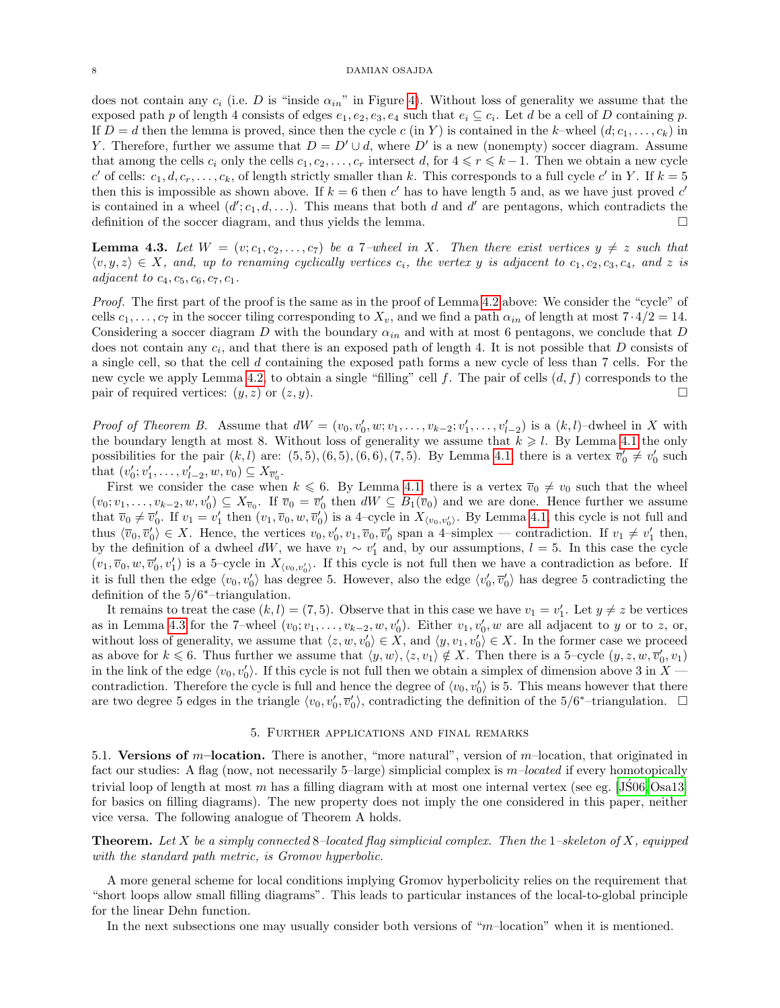#### 8 DAMIAN OSAJDA

does not contain any  $c_i$  (i.e. D is "inside  $\alpha_{in}$ " in Figure [4\)](#page-6-2). Without loss of generality we assume that the exposed path p of length 4 consists of edges  $e_1, e_2, e_3, e_4$  such that  $e_i \subseteq c_i$ . Let d be a cell of D containing p. If  $D = d$  then the lemma is proved, since then the cycle c (in Y) is contained in the k–wheel  $(d; c_1, \ldots, c_k)$  in Y. Therefore, further we assume that  $D = D' \cup d$ , where  $D'$  is a new (nonempty) soccer diagram. Assume that among the cells  $c_i$  only the cells  $c_1, c_2, \ldots, c_r$  intersect d, for  $4 \leq r \leq k-1$ . Then we obtain a new cycle c' of cells:  $c_1, d, c_r, \ldots, c_k$ , of length strictly smaller than k. This corresponds to a full cycle c' in Y. If  $k = 5$ then this is impossible as shown above. If  $k = 6$  then c' has to have length 5 and, as we have just proved c' is contained in a wheel  $(d'; c_1, d, \ldots)$ . This means that both d and d' are pentagons, which contradicts the definition of the soccer diagram, and thus yields the lemma.

<span id="page-7-1"></span>**Lemma 4.3.** Let  $W = (v; c_1, c_2, \ldots, c_7)$  be a 7-wheel in X. Then there exist vertices  $y \neq z$  such that  $\langle v, y, z \rangle \in X$ , and, up to renaming cyclically vertices  $c_i$ , the vertex y is adjacent to  $c_1, c_2, c_3, c_4$ , and z is *adjacent to*  $c_4$ ,  $c_5$ ,  $c_6$ ,  $c_7$ ,  $c_1$ .

Proof. The first part of the proof is the same as in the proof of Lemma [4.2](#page-6-1) above: We consider the "cycle" of cells  $c_1, \ldots, c_7$  in the soccer tiling corresponding to  $X_v$ , and we find a path  $\alpha_{in}$  of length at most  $7 \cdot 4/2 = 14$ . Considering a soccer diagram D with the boundary  $\alpha_{in}$  and with at most 6 pentagons, we conclude that D does not contain any  $c_i$ , and that there is an exposed path of length 4. It is not possible that D consists of a single cell, so that the cell d containing the exposed path forms a new cycle of less than 7 cells. For the new cycle we apply Lemma [4.2,](#page-6-1) to obtain a single "filling" cell f. The pair of cells  $(d, f)$  corresponds to the pair of required vertices:  $(y, z)$  or  $(z, y)$ .

*Proof of Theorem B.* Assume that  $dW = (v_0, v'_0, w; v_1, \ldots, v_{k-2}; v'_1, \ldots, v'_{l-2})$  is a  $(k, l)$ -dwheel in X with the boundary length at most 8. Without loss of generality we assume that  $k \geq l$ . By Lemma [4.1](#page-6-3) the only possibilities for the pair  $(k, l)$  are:  $(5, 5), (6, 5), (6, 6), (7, 5)$ . By Lemma [4.1,](#page-6-3) there is a vertex  $\overline{v}'_0 \neq v'_0$  such that  $(v'_0; v'_1, \ldots, v'_{l-2}, w, v_0) \subseteq X_{\overline{v}'_0}$ .

First we consider the case when  $k \leq 6$ . By Lemma [4.1,](#page-6-3) there is a vertex  $\overline{v}_0 \neq v_0$  such that the wheel  $(v_0; v_1, \ldots, v_{k-2}, w, v'_0) \subseteq X_{\overline{v}_0}$ . If  $\overline{v}_0 = \overline{v}'_0$  then  $dW \subseteq B_1(\overline{v}_0)$  and we are done. Hence further we assume that  $\overline{v}_0 \neq \overline{v}'_0$ . If  $v_1 = v'_1$  then  $(v_1, \overline{v}_0, w, \overline{v}'_0)$  is a 4-cycle in  $X_{\langle v_0, v'_0 \rangle}$ . By Lemma [4.1,](#page-6-3) this cycle is not full and thus  $\langle \overline{v}_0, \overline{v}'_0 \rangle \in X$ . Hence, the vertices  $v_0, v'_0, v_1, \overline{v}_0, \overline{v}'_0$  span a 4-simplex — contradiction. If  $v_1 \neq v'_1$  then, by the definition of a dwheel  $dW$ , we have  $v_1 \sim v_1'$  and, by our assumptions,  $l = 5$ . In this case the cycle  $(v_1, \overline{v}_0, w, \overline{v}'_0, v'_1)$  is a 5-cycle in  $X_{\langle v_0, v'_0 \rangle}$ . If this cycle is not full then we have a contradiction as before. If it is full then the edge  $\langle v_0, v'_0 \rangle$  has degree 5. However, also the edge  $\langle v'_0, \overline{v}'_0 \rangle$  has degree 5 contradicting the definition of the 5/6 <sup>∗</sup>–triangulation.

It remains to treat the case  $(k, l) = (7, 5)$ . Observe that in this case we have  $v_1 = v'_1$ . Let  $y \neq z$  be vertices as in Lemma [4.3](#page-7-1) for the 7-wheel  $(v_0; v_1, \ldots, v_{k-2}, w, v'_0)$ . Either  $v_1, v'_0, w$  are all adjacent to y or to z, or, without loss of generality, we assume that  $\langle z, w, v_0' \rangle \in X$ , and  $\langle y, v_1, v_0' \rangle \in X$ . In the former case we proceed as above for  $k \leq 6$ . Thus further we assume that  $\langle y, w \rangle$ ,  $\langle z, v_1 \rangle \notin X$ . Then there is a 5–cycle  $(y, z, w, \overline{v}_0', v_1)$ in the link of the edge  $\langle v_0, v_0' \rangle$ . If this cycle is not full then we obtain a simplex of dimension above 3 in X contradiction. Therefore the cycle is full and hence the degree of  $\langle v_0, v_0' \rangle$  is 5. This means however that there are two degree 5 edges in the triangle  $\langle v_0, v'_0, \overline{v}'_0 \rangle$ , contradicting the definition of the 5/6<sup>\*</sup>-triangulation.  $\Box$ 

#### 5. Further applications and final remarks

<span id="page-7-0"></span>5.1. Versions of m–location. There is another, "more natural", version of m–location, that originated in fact our studies: A flag (now, not necessarily 5–large) simplicial complex is m–located if every homotopically trivial loop of length at most m has a filling diagram with at most one internal vertex (see eg. [J $\text{S}06,\text{Os}a13$ ] for basics on filling diagrams). The new property does not imply the one considered in this paper, neither vice versa. The following analogue of Theorem A holds.

**Theorem.** Let X be a simply connected 8-located flag simplicial complex. Then the 1-skeleton of X, equipped with the standard path metric, is Gromov hyperbolic.

A more general scheme for local conditions implying Gromov hyperbolicity relies on the requirement that "short loops allow small filling diagrams". This leads to particular instances of the local-to-global principle for the linear Dehn function.

In the next subsections one may usually consider both versions of "m–location" when it is mentioned.